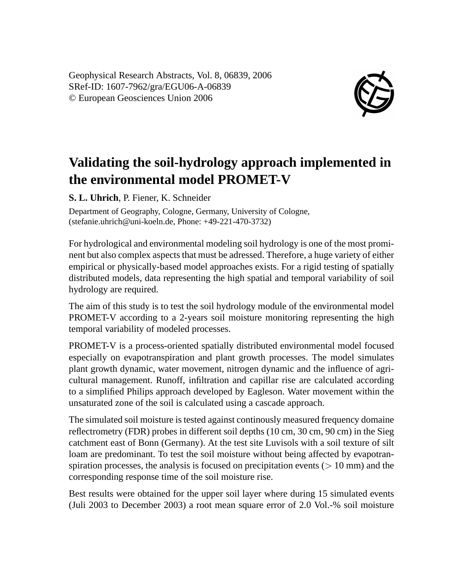Geophysical Research Abstracts, Vol. 8, 06839, 2006 SRef-ID: 1607-7962/gra/EGU06-A-06839 © European Geosciences Union 2006



## **Validating the soil-hydrology approach implemented in the environmental model PROMET-V**

**S. L. Uhrich**, P. Fiener, K. Schneider

Department of Geography, Cologne, Germany, University of Cologne, (stefanie.uhrich@uni-koeln.de, Phone: +49-221-470-3732)

For hydrological and environmental modeling soil hydrology is one of the most prominent but also complex aspects that must be adressed. Therefore, a huge variety of either empirical or physically-based model approaches exists. For a rigid testing of spatially distributed models, data representing the high spatial and temporal variability of soil hydrology are required.

The aim of this study is to test the soil hydrology module of the environmental model PROMET-V according to a 2-years soil moisture monitoring representing the high temporal variability of modeled processes.

PROMET-V is a process-oriented spatially distributed environmental model focused especially on evapotranspiration and plant growth processes. The model simulates plant growth dynamic, water movement, nitrogen dynamic and the influence of agricultural management. Runoff, infiltration and capillar rise are calculated according to a simplified Philips approach developed by Eagleson. Water movement within the unsaturated zone of the soil is calculated using a cascade approach.

The simulated soil moisture is tested against continously measured frequency domaine reflectrometry (FDR) probes in different soil depths (10 cm, 30 cm, 90 cm) in the Sieg catchment east of Bonn (Germany). At the test site Luvisols with a soil texture of silt loam are predominant. To test the soil moisture without being affected by evapotranspiration processes, the analysis is focused on precipitation events ( $> 10$  mm) and the corresponding response time of the soil moisture rise.

Best results were obtained for the upper soil layer where during 15 simulated events (Juli 2003 to December 2003) a root mean square error of 2.0 Vol.-% soil moisture